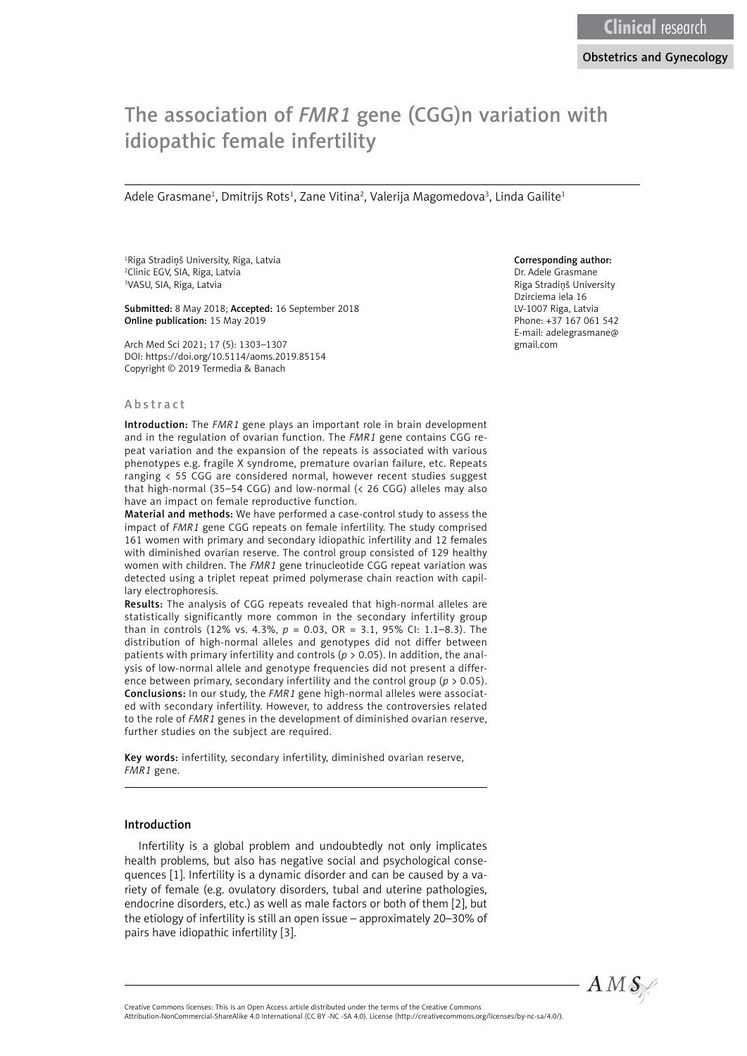# The association of *FMR1* gene (CGG)n variation with idiopathic female infertility

Adele Grasmane<sup>1</sup>, Dmitrijs Rots<sup>1</sup>, Zane Vitina<sup>2</sup>, Valerija Magomedova<sup>3</sup>, Linda Gailite<sup>1</sup>

1 Riga Stradiņš University, Riga, Latvia 2 Clinic EGV, SIA, Riga, Latvia 3 VASU, SIA, Riga, Latvia

Submitted: 8 May 2018; Accepted: 16 September 2018 Online publication: 15 May 2019

Arch Med Sci 2021; 17 (5): 1303–1307 DOI: https://doi.org/10.5114/aoms.2019.85154 Copyright © 2019 Termedia & Banach

#### Abstract

Introduction: The *FMR1* gene plays an important role in brain development and in the regulation of ovarian function. The *FMR1* gene contains CGG repeat variation and the expansion of the repeats is associated with various phenotypes e.g. fragile X syndrome, premature ovarian failure, etc. Repeats ranging < 55 CGG are considered normal, however recent studies suggest that high-normal (35–54 CGG) and low-normal (< 26 CGG) alleles may also have an impact on female reproductive function.

Material and methods: We have performed a case-control study to assess the impact of *FMR1* gene CGG repeats on female infertility. The study comprised 161 women with primary and secondary idiopathic infertility and 12 females with diminished ovarian reserve. The control group consisted of 129 healthy women with children. The *FMR1* gene trinucleotide CGG repeat variation was detected using a triplet repeat primed polymerase chain reaction with capillary electrophoresis.

Results: The analysis of CGG repeats revealed that high-normal alleles are statistically significantly more common in the secondary infertility group than in controls (12% vs. 4.3%, *p* = 0.03, OR = 3.1, 95% CI: 1.1–8.3). The distribution of high-normal alleles and genotypes did not differ between patients with primary infertility and controls ( $p > 0.05$ ). In addition, the analysis of low-normal allele and genotype frequencies did not present a difference between primary, secondary infertility and the control group (*p* > 0.05). Conclusions: In our study, the *FMR1* gene high-normal alleles were associated with secondary infertility. However, to address the controversies related to the role of *FMR1* genes in the development of diminished ovarian reserve, further studies on the subject are required.

Key words: infertility, secondary infertility, diminished ovarian reserve, *FMR1* gene.

#### Introduction

Infertility is a global problem and undoubtedly not only implicates health problems, but also has negative social and psychological consequences [1]. Infertility is a dynamic disorder and can be caused by a variety of female (e.g. ovulatory disorders, tubal and uterine pathologies, endocrine disorders, etc.) as well as male factors or both of them [2], but the etiology of infertility is still an open issue – approximately 20–30% of pairs have idiopathic infertility [3].

#### Corresponding author:

Dr. Adele Grasmane Riga Stradiņš University Dzirciema iela 16 LV-1007 Riga, Latvia Phone: +37 167 061 542 E-mail: adelegrasmane@ gmail.com



Creative Commons licenses: This is an Open Access article distributed under the terms of the Creative Commons Attribution-NonCommercial-ShareAlike 4.0 International (CC BY -NC -SA 4.0). License (http://creativecommons.org/licenses/by-nc-sa/4.0/).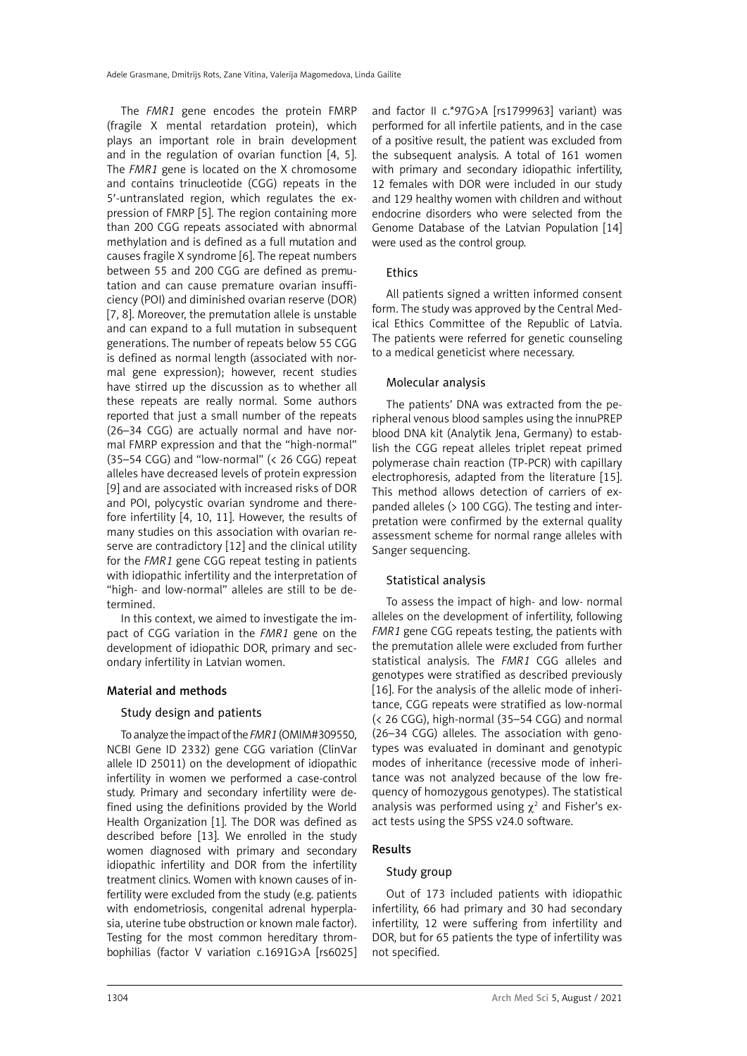The *FMR1* gene encodes the protein FMRP (fragile X mental retardation protein), which plays an important role in brain development and in the regulation of ovarian function [4, 5]. The *FMR1* gene is located on the X chromosome and contains trinucleotide (CGG) repeats in the 5′-untranslated region, which regulates the expression of FMRP [5]. The region containing more than 200 CGG repeats associated with abnormal methylation and is defined as a full mutation and causes fragile X syndrome [6]. The repeat numbers between 55 and 200 CGG are defined as premutation and can cause premature ovarian insufficiency (POI) and diminished ovarian reserve (DOR) [7, 8]. Moreover, the premutation allele is unstable and can expand to a full mutation in subsequent generations. The number of repeats below 55 CGG is defined as normal length (associated with normal gene expression); however, recent studies have stirred up the discussion as to whether all these repeats are really normal. Some authors reported that just a small number of the repeats (26–34 CGG) are actually normal and have normal FMRP expression and that the "high-normal" (35–54 CGG) and "low-normal" (< 26 CGG) repeat alleles have decreased levels of protein expression [9] and are associated with increased risks of DOR and POI, polycystic ovarian syndrome and therefore infertility [4, 10, 11]. However, the results of many studies on this association with ovarian reserve are contradictory [12] and the clinical utility for the *FMR1* gene CGG repeat testing in patients with idiopathic infertility and the interpretation of "high- and low-normal" alleles are still to be determined.

In this context, we aimed to investigate the impact of CGG variation in the *FMR1* gene on the development of idiopathic DOR, primary and secondary infertility in Latvian women.

# Material and methods

# Study design and patients

To analyze the impact of the *FMR1* (OMIM#309550, NCBI Gene ID 2332) gene CGG variation (ClinVar allele ID 25011) on the development of idiopathic infertility in women we performed a case-control study. Primary and secondary infertility were defined using the definitions provided by the World Health Organization [1]. The DOR was defined as described before [13]. We enrolled in the study women diagnosed with primary and secondary idiopathic infertility and DOR from the infertility treatment clinics. Women with known causes of infertility were excluded from the study (e.g. patients with endometriosis, congenital adrenal hyperplasia, uterine tube obstruction or known male factor). Testing for the most common hereditary thrombophilias (factor V variation c.1691G>A [rs6025] and factor II c.\*97G>A [rs1799963] variant) was performed for all infertile patients, and in the case of a positive result, the patient was excluded from the subsequent analysis. A total of 161 women with primary and secondary idiopathic infertility, 12 females with DOR were included in our study and 129 healthy women with children and without endocrine disorders who were selected from the Genome Database of the Latvian Population [14] were used as the control group.

# **Ethics**

All patients signed a written informed consent form. The study was approved by the Central Medical Ethics Committee of the Republic of Latvia. The patients were referred for genetic counseling to a medical geneticist where necessary.

## Molecular analysis

The patients' DNA was extracted from the peripheral venous blood samples using the innuPREP blood DNA kit (Analytik Jena, Germany) to establish the CGG repeat alleles triplet repeat primed polymerase chain reaction (TP-PCR) with capillary electrophoresis, adapted from the literature [15]. This method allows detection of carriers of expanded alleles (> 100 CGG). The testing and interpretation were confirmed by the external quality assessment scheme for normal range alleles with Sanger sequencing.

# Statistical analysis

To assess the impact of high- and low- normal alleles on the development of infertility, following *FMR1* gene CGG repeats testing, the patients with the premutation allele were excluded from further statistical analysis. The *FMR1* CGG alleles and genotypes were stratified as described previously [16]. For the analysis of the allelic mode of inheritance, CGG repeats were stratified as low-normal (< 26 CGG), high-normal (35–54 CGG) and normal (26–34 CGG) alleles. The association with genotypes was evaluated in dominant and genotypic modes of inheritance (recessive mode of inheritance was not analyzed because of the low frequency of homozygous genotypes). The statistical analysis was performed using  $\chi^2$  and Fisher's exact tests using the SPSS v24.0 software.

## Results

#### Study group

Out of 173 included patients with idiopathic infertility, 66 had primary and 30 had secondary infertility, 12 were suffering from infertility and DOR, but for 65 patients the type of infertility was not specified.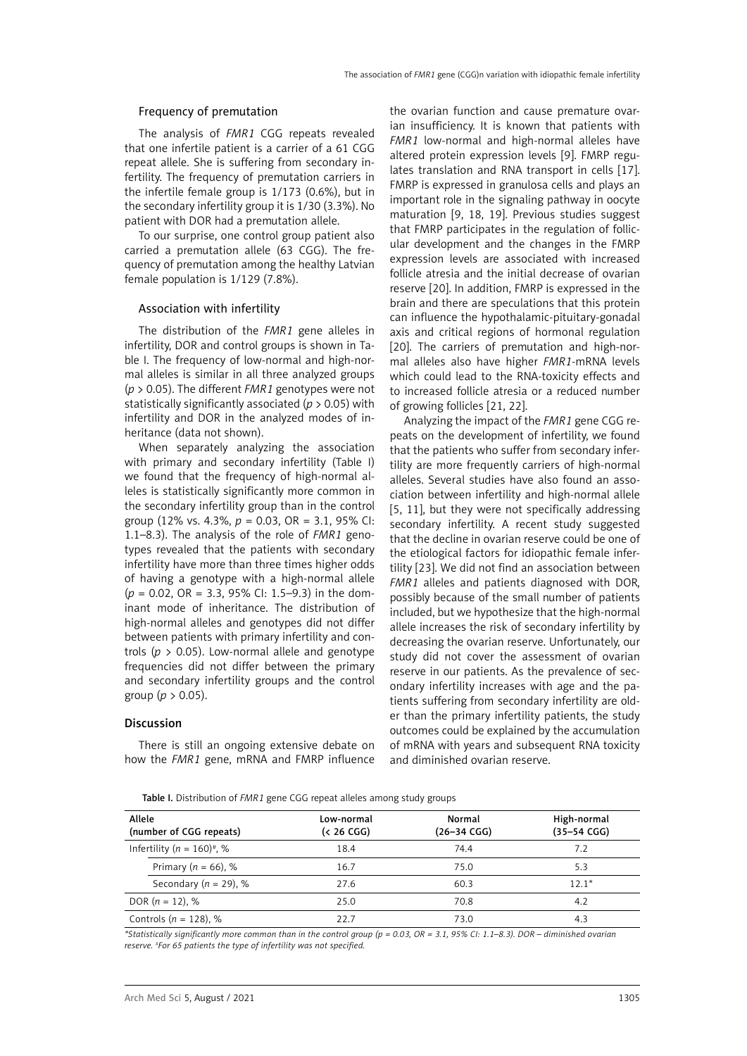#### Frequency of premutation

The analysis of *FMR1* CGG repeats revealed that one infertile patient is a carrier of a 61 CGG repeat allele. She is suffering from secondary infertility. The frequency of premutation carriers in the infertile female group is 1/173 (0.6%), but in the secondary infertility group it is 1/30 (3.3%). No patient with DOR had a premutation allele.

To our surprise, one control group patient also carried a premutation allele (63 CGG). The frequency of premutation among the healthy Latvian female population is 1/129 (7.8%).

#### Association with infertility

The distribution of the *FMR1* gene alleles in infertility, DOR and control groups is shown in Table I. The frequency of low-normal and high-normal alleles is similar in all three analyzed groups (*p* > 0.05). The different *FMR1* genotypes were not statistically significantly associated (*p* > 0.05) with infertility and DOR in the analyzed modes of inheritance (data not shown).

When separately analyzing the association with primary and secondary infertility (Table I) we found that the frequency of high-normal alleles is statistically significantly more common in the secondary infertility group than in the control group (12% vs. 4.3%, *p* = 0.03, OR = 3.1, 95% CI: 1.1–8.3). The analysis of the role of *FMR1* genotypes revealed that the patients with secondary infertility have more than three times higher odds of having a genotype with a high-normal allele (*p* = 0.02, OR = 3.3, 95% CI: 1.5–9.3) in the dominant mode of inheritance. The distribution of high-normal alleles and genotypes did not differ between patients with primary infertility and controls ( $p > 0.05$ ). Low-normal allele and genotype frequencies did not differ between the primary and secondary infertility groups and the control group (*p* > 0.05).

# Discussion

There is still an ongoing extensive debate on how the *FMR1* gene, mRNA and FMRP influence the ovarian function and cause premature ovarian insufficiency. It is known that patients with *FMR1* low-normal and high-normal alleles have altered protein expression levels [9]. FMRP regulates translation and RNA transport in cells [17]. FMRP is expressed in granulosa cells and plays an important role in the signaling pathway in oocyte maturation [9, 18, 19]. Previous studies suggest that FMRP participates in the regulation of follicular development and the changes in the FMRP expression levels are associated with increased follicle atresia and the initial decrease of ovarian reserve [20]. In addition, FMRP is expressed in the brain and there are speculations that this protein can influence the hypothalamic-pituitary-gonadal axis and critical regions of hormonal regulation [20]. The carriers of premutation and high-normal alleles also have higher *FMR1*-mRNA levels which could lead to the RNA-toxicity effects and to increased follicle atresia or a reduced number of growing follicles [21, 22].

Analyzing the impact of the *FMR1* gene CGG repeats on the development of infertility, we found that the patients who suffer from secondary infertility are more frequently carriers of high-normal alleles. Several studies have also found an association between infertility and high-normal allele [5, 11], but they were not specifically addressing secondary infertility. A recent study suggested that the decline in ovarian reserve could be one of the etiological factors for idiopathic female infertility [23]. We did not find an association between *FMR1* alleles and patients diagnosed with DOR, possibly because of the small number of patients included, but we hypothesize that the high-normal allele increases the risk of secondary infertility by decreasing the ovarian reserve. Unfortunately, our study did not cover the assessment of ovarian reserve in our patients. As the prevalence of secondary infertility increases with age and the patients suffering from secondary infertility are older than the primary infertility patients, the study outcomes could be explained by the accumulation of mRNA with years and subsequent RNA toxicity and diminished ovarian reserve.

Table I. Distribution of *FMR1* gene CGG repeat alleles among study groups

| Allele<br>(number of CGG repeats)          | Low-normal<br>( <sub>26</sub> CGG) | Normal<br>$(26 - 34)$ CGG) | High-normal<br>$(35 - 54)$ CGG) |
|--------------------------------------------|------------------------------------|----------------------------|---------------------------------|
| Infertility ( $n = 160$ ) <sup>#</sup> , % | 18.4                               | 74.4                       | 7.2                             |
| Primary ( $n = 66$ ), %                    | 16.7                               | 75.0                       | 5.3                             |
| Secondary ( $n = 29$ ), %                  | 27.6                               | 60.3                       | $12.1*$                         |
| DOR $(n = 12)$ , %                         | 25.0                               | 70.8                       | 4.2                             |
| Controls ( $n = 128$ ), %                  | 22.7                               | 73.0                       | 4.3                             |

*\*Statistically significantly more common than in the control group (p = 0.03, OR = 3.1, 95% CI: 1.1–8.3). DOR – diminished ovarian reserve.* # *For 65 patients the type of infertility was not specified.*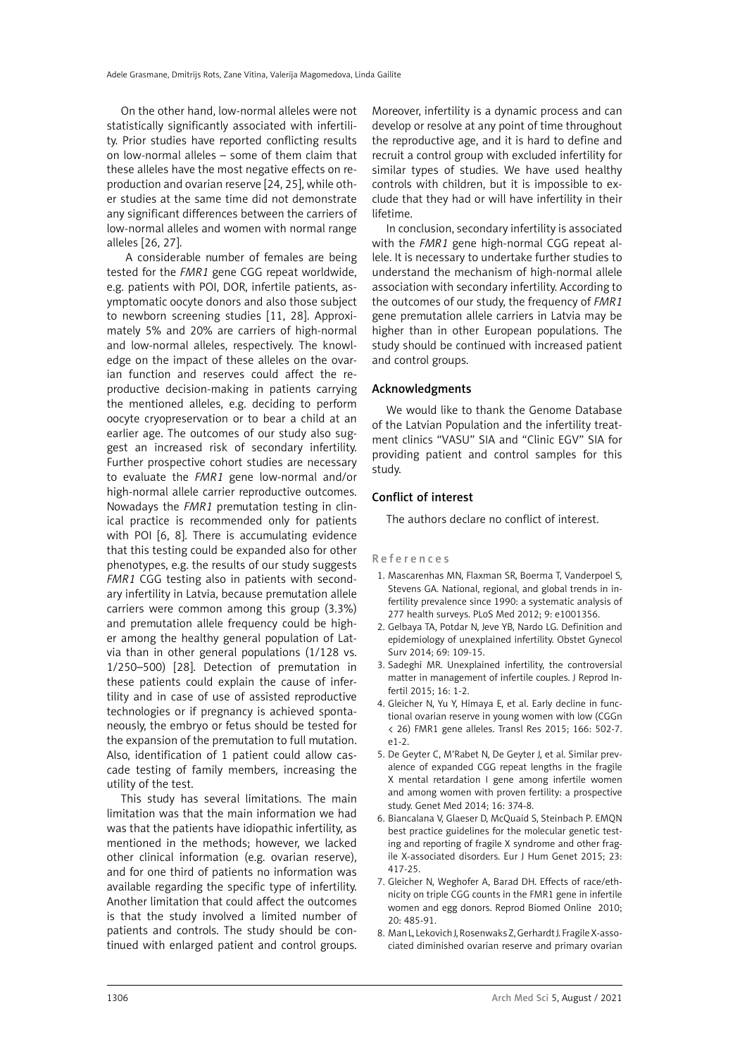On the other hand, low-normal alleles were not statistically significantly associated with infertility. Prior studies have reported conflicting results on low-normal alleles – some of them claim that these alleles have the most negative effects on reproduction and ovarian reserve [24, 25], while other studies at the same time did not demonstrate any significant differences between the carriers of low-normal alleles and women with normal range alleles [26, 27].

 A considerable number of females are being tested for the *FMR1* gene CGG repeat worldwide, e.g. patients with POI, DOR, infertile patients, asymptomatic oocyte donors and also those subject to newborn screening studies [11, 28]. Approximately 5% and 20% are carriers of high-normal and low-normal alleles, respectively. The knowledge on the impact of these alleles on the ovarian function and reserves could affect the reproductive decision-making in patients carrying the mentioned alleles, e.g. deciding to perform oocyte cryopreservation or to bear a child at an earlier age. The outcomes of our study also suggest an increased risk of secondary infertility. Further prospective cohort studies are necessary to evaluate the *FMR1* gene low-normal and/or high-normal allele carrier reproductive outcomes. Nowadays the *FMR1* premutation testing in clinical practice is recommended only for patients with POI [6, 8]. There is accumulating evidence that this testing could be expanded also for other phenotypes, e.g. the results of our study suggests *FMR1* CGG testing also in patients with secondary infertility in Latvia, because premutation allele carriers were common among this group (3.3%) and premutation allele frequency could be higher among the healthy general population of Latvia than in other general populations (1/128 vs. 1/250–500) [28]. Detection of premutation in these patients could explain the cause of infertility and in case of use of assisted reproductive technologies or if pregnancy is achieved spontaneously, the embryo or fetus should be tested for the expansion of the premutation to full mutation. Also, identification of 1 patient could allow cascade testing of family members, increasing the utility of the test.

This study has several limitations. The main limitation was that the main information we had was that the patients have idiopathic infertility, as mentioned in the methods; however, we lacked other clinical information (e.g. ovarian reserve), and for one third of patients no information was available regarding the specific type of infertility. Another limitation that could affect the outcomes is that the study involved a limited number of patients and controls. The study should be continued with enlarged patient and control groups. Moreover, infertility is a dynamic process and can develop or resolve at any point of time throughout the reproductive age, and it is hard to define and recruit a control group with excluded infertility for similar types of studies. We have used healthy controls with children, but it is impossible to exclude that they had or will have infertility in their lifetime.

In conclusion, secondary infertility is associated with the *FMR1* gene high-normal CGG repeat allele. It is necessary to undertake further studies to understand the mechanism of high-normal allele association with secondary infertility. According to the outcomes of our study, the frequency of *FMR1* gene premutation allele carriers in Latvia may be higher than in other European populations. The study should be continued with increased patient and control groups.

## Acknowledgments

We would like to thank the Genome Database of the Latvian Population and the infertility treatment clinics "VASU" SIA and "Clinic EGV" SIA for providing patient and control samples for this study.

## Conflict of interest

The authors declare no conflict of interest.

#### References

- 1. Mascarenhas MN, Flaxman SR, Boerma T, Vanderpoel S, Stevens GA. National, regional, and global trends in infertility prevalence since 1990: a systematic analysis of 277 health surveys. PLoS Med 2012; 9: e1001356.
- 2. Gelbaya TA, Potdar N, Jeve YB, Nardo LG. Definition and epidemiology of unexplained infertility. Obstet Gynecol Surv 2014; 69: 109-15.
- 3. Sadeghi MR. Unexplained infertility, the controversial matter in management of infertile couples. J Reprod Infertil 2015; 16: 1-2.
- 4. Gleicher N, Yu Y, Himaya E, et al. Early decline in functional ovarian reserve in young women with low (CGGn < 26) FMR1 gene alleles. Transl Res 2015; 166: 502-7. e1-2.
- 5. De Geyter C, M'Rabet N, De Geyter J, et al. Similar prevalence of expanded CGG repeat lengths in the fragile X mental retardation I gene among infertile women and among women with proven fertility: a prospective study. Genet Med 2014; 16: 374-8.
- 6. Biancalana V, Glaeser D, McQuaid S, Steinbach P. EMQN best practice guidelines for the molecular genetic testing and reporting of fragile X syndrome and other fragile X-associated disorders. Eur J Hum Genet 2015; 23: 417-25.
- 7. Gleicher N, Weghofer A, Barad DH. Effects of race/ethnicity on triple CGG counts in the FMR1 gene in infertile women and egg donors. Reprod Biomed Online 2010; 20: 485-91.
- 8. Man L, Lekovich J, Rosenwaks Z, Gerhardt J. Fragile X-associated diminished ovarian reserve and primary ovarian